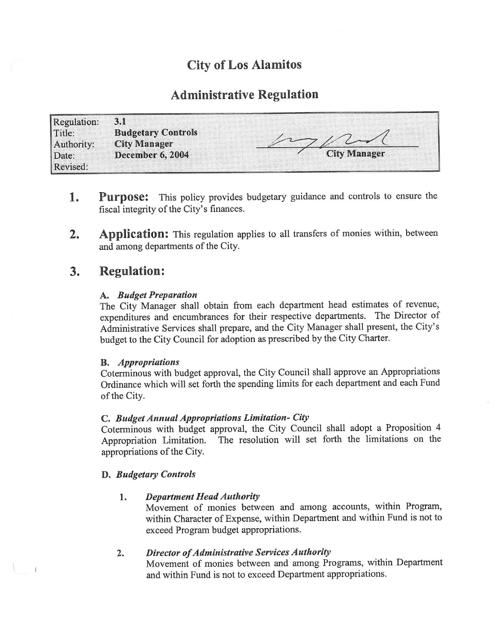# City of Los Alamitos

## Administrative Regulation

| <b>Regulation:</b> | 3.1                       |                     |
|--------------------|---------------------------|---------------------|
| Title:             | <b>Budgetary Controls</b> |                     |
| Authority:         | <b>City Manager</b>       |                     |
| Date:              | <b>December 6, 2004</b>   | <b>City Manager</b> |
| Revised:           |                           |                     |

- 1. Purpose: This policy provides budgetary guidance and controls to ensure the fiscal integrity of the City's finances.
- 2. Application: This regulation applies to all transfers of monies within, between and among departments of the City.

## 3. Regulation:

### A. Budget Preparation

The City Manager shall obtain from each department head estimates of revenue, expenditures and encumbrances for their respective departments. The Director of Administrative Services shall prepare, and the City Manager shall present, the City' <sup>s</sup> budget to the City Council for adoption as prescribed by the City Charter.

### B. Appropriations

Coterminous with budget approval, the City Council shall approve an Appropriations Ordinance which will set forth the spending limits for each department and each Fund of the City.

### C. Budget Annual Appropriations Limitation- City

Coterminous with budget approval, the City Council shall adopt a Proposition 4 The resolution will set forth the limitations on the appropriations of the City.

### D. Budgetary Controls

### 1. Department Head Authority

Movement of monies between and among accounts, within Program, within Character of Expense, within Department and within Fund is not to exceed Program budget appropriations.

### 2. Director of Administrative Services Authority

Movement of monies between and among Programs, within Department and within Fund is not to exceed Department appropriations.